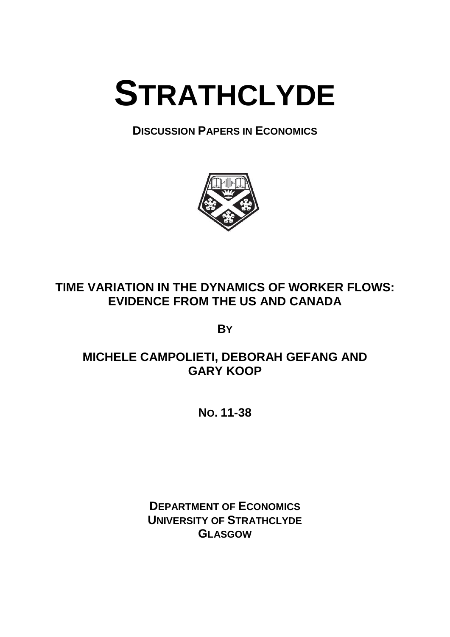

**DISCUSSION PAPERS IN ECONOMICS**



# **TIME VARIATION IN THE DYNAMICS OF WORKER FLOWS: EVIDENCE FROM THE US AND CANADA**

**BY**

# **MICHELE CAMPOLIETI, DEBORAH GEFANG AND GARY KOOP**

**NO. 11-38**

**DEPARTMENT OF ECONOMICS UNIVERSITY OF STRATHCLYDE GLASGOW**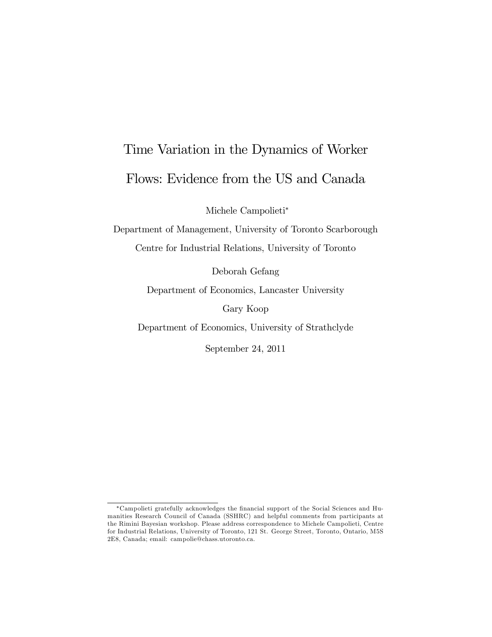# Time Variation in the Dynamics of Worker Flows: Evidence from the US and Canada

Michele Campolieti

Department of Management, University of Toronto Scarborough Centre for Industrial Relations, University of Toronto

Deborah Gefang

Department of Economics, Lancaster University

Gary Koop

Department of Economics, University of Strathclyde

September 24, 2011

Campolieti gratefully acknowledges the Önancial support of the Social Sciences and Humanities Research Council of Canada (SSHRC) and helpful comments from participants at the Rimini Bayesian workshop. Please address correspondence to Michele Campolieti, Centre for Industrial Relations, University of Toronto, 121 St. George Street, Toronto, Ontario, M5S 2E8, Canada; email: campolie@chass.utoronto.ca.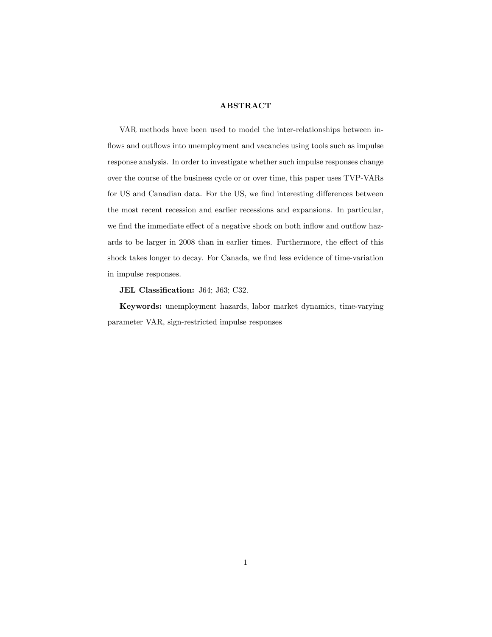### **ABSTRACT**

VAR methods have been used to model the inter-relationships between inflows and outflows into unemployment and vacancies using tools such as impulse response analysis. In order to investigate whether such impulse responses change over the course of the business cycle or or over time, this paper uses TVP-VARs for US and Canadian data. For the US, we find interesting differences between the most recent recession and earlier recessions and expansions. In particular, we find the immediate effect of a negative shock on both inflow and outflow hazards to be larger in 2008 than in earlier times. Furthermore, the effect of this shock takes longer to decay. For Canada, we find less evidence of time-variation in impulse responses.

JEL Classification: J64; J63; C32.

Keywords: unemployment hazards, labor market dynamics, time-varying parameter VAR, sign-restricted impulse responses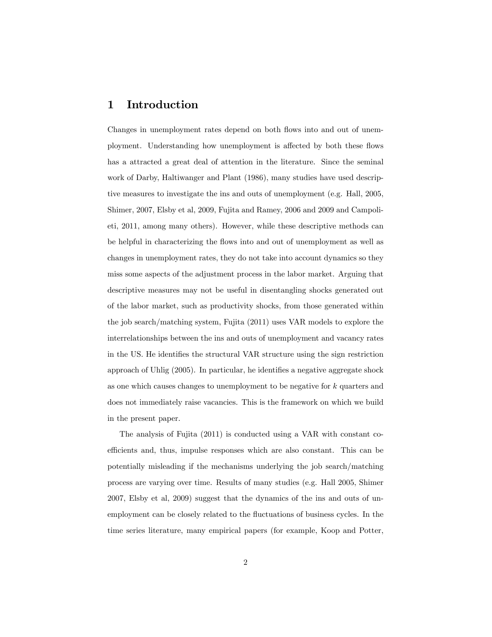### 1 Introduction

Changes in unemployment rates depend on both flows into and out of unemployment. Understanding how unemployment is affected by both these flows has a attracted a great deal of attention in the literature. Since the seminal work of Darby, Haltiwanger and Plant (1986), many studies have used descriptive measures to investigate the ins and outs of unemployment (e.g. Hall, 2005, Shimer, 2007, Elsby et al, 2009, Fujita and Ramey, 2006 and 2009 and Campolieti, 2011, among many others). However, while these descriptive methods can be helpful in characterizing the áows into and out of unemployment as well as changes in unemployment rates, they do not take into account dynamics so they miss some aspects of the adjustment process in the labor market. Arguing that descriptive measures may not be useful in disentangling shocks generated out of the labor market, such as productivity shocks, from those generated within the job search/matching system, Fujita (2011) uses VAR models to explore the interrelationships between the ins and outs of unemployment and vacancy rates in the US. He identifies the structural VAR structure using the sign restriction approach of Uhlig  $(2005)$ . In particular, he identifies a negative aggregate shock as one which causes changes to unemployment to be negative for k quarters and does not immediately raise vacancies. This is the framework on which we build in the present paper.

The analysis of Fujita (2011) is conducted using a VAR with constant coefficients and, thus, impulse responses which are also constant. This can be potentially misleading if the mechanisms underlying the job search/matching process are varying over time. Results of many studies (e.g. Hall 2005, Shimer 2007, Elsby et al, 2009) suggest that the dynamics of the ins and outs of unemployment can be closely related to the fluctuations of business cycles. In the time series literature, many empirical papers (for example, Koop and Potter,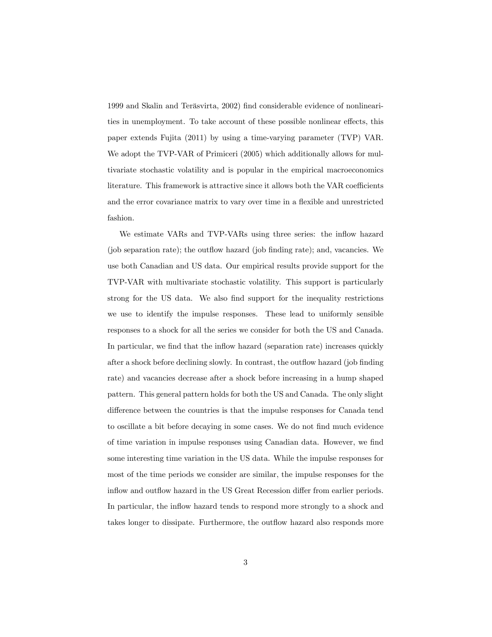1999 and Skalin and Teräsvirta, 2002) find considerable evidence of nonlinearities in unemployment. To take account of these possible nonlinear effects, this paper extends Fujita (2011) by using a time-varying parameter (TVP) VAR. We adopt the TVP-VAR of Primiceri (2005) which additionally allows for multivariate stochastic volatility and is popular in the empirical macroeconomics literature. This framework is attractive since it allows both the VAR coefficients and the error covariance matrix to vary over time in a flexible and unrestricted fashion.

We estimate VARs and TVP-VARs using three series: the inflow hazard (job separation rate); the outflow hazard (job finding rate); and, vacancies. We use both Canadian and US data. Our empirical results provide support for the TVP-VAR with multivariate stochastic volatility. This support is particularly strong for the US data. We also find support for the inequality restrictions we use to identify the impulse responses. These lead to uniformly sensible responses to a shock for all the series we consider for both the US and Canada. In particular, we find that the inflow hazard (separation rate) increases quickly after a shock before declining slowly. In contrast, the outflow hazard (job finding rate) and vacancies decrease after a shock before increasing in a hump shaped pattern. This general pattern holds for both the US and Canada. The only slight difference between the countries is that the impulse responses for Canada tend to oscillate a bit before decaying in some cases. We do not Önd much evidence of time variation in impulse responses using Canadian data. However, we find some interesting time variation in the US data. While the impulse responses for most of the time periods we consider are similar, the impulse responses for the inflow and outflow hazard in the US Great Recession differ from earlier periods. In particular, the inflow hazard tends to respond more strongly to a shock and takes longer to dissipate. Furthermore, the outflow hazard also responds more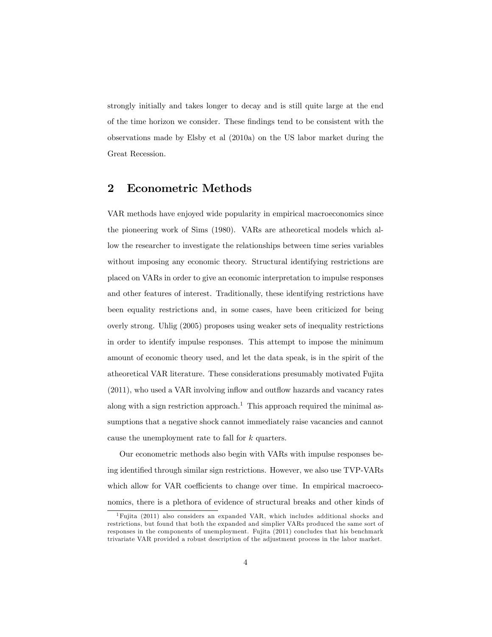strongly initially and takes longer to decay and is still quite large at the end of the time horizon we consider. These Öndings tend to be consistent with the observations made by Elsby et al (2010a) on the US labor market during the Great Recession.

### 2 Econometric Methods

VAR methods have enjoyed wide popularity in empirical macroeconomics since the pioneering work of Sims (1980). VARs are atheoretical models which allow the researcher to investigate the relationships between time series variables without imposing any economic theory. Structural identifying restrictions are placed on VARs in order to give an economic interpretation to impulse responses and other features of interest. Traditionally, these identifying restrictions have been equality restrictions and, in some cases, have been criticized for being overly strong. Uhlig (2005) proposes using weaker sets of inequality restrictions in order to identify impulse responses. This attempt to impose the minimum amount of economic theory used, and let the data speak, is in the spirit of the atheoretical VAR literature. These considerations presumably motivated Fujita  $(2011)$ , who used a VAR involving inflow and outflow hazards and vacancy rates along with a sign restriction approach.<sup>1</sup> This approach required the minimal assumptions that a negative shock cannot immediately raise vacancies and cannot cause the unemployment rate to fall for k quarters.

Our econometric methods also begin with VARs with impulse responses being identified through similar sign restrictions. However, we also use TVP-VARs which allow for VAR coefficients to change over time. In empirical macroeconomics, there is a plethora of evidence of structural breaks and other kinds of

<sup>1</sup>Fujita (2011) also considers an expanded VAR, which includes additional shocks and restrictions, but found that both the expanded and simplier VARs produced the same sort of responses in the components of unemployment. Fujita (2011) concludes that his benchmark trivariate VAR provided a robust description of the adjustment process in the labor market.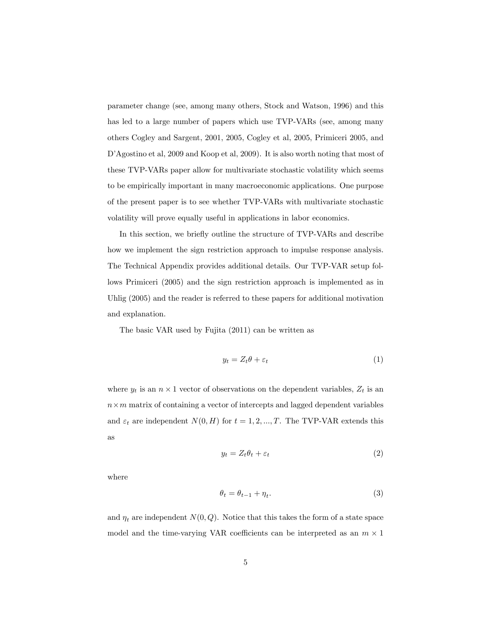parameter change (see, among many others, Stock and Watson, 1996) and this has led to a large number of papers which use TVP-VARs (see, among many others Cogley and Sargent, 2001, 2005, Cogley et al, 2005, Primiceri 2005, and D'Agostino et al, 2009 and Koop et al, 2009). It is also worth noting that most of these TVP-VARs paper allow for multivariate stochastic volatility which seems to be empirically important in many macroeconomic applications. One purpose of the present paper is to see whether TVP-VARs with multivariate stochastic volatility will prove equally useful in applications in labor economics.

In this section, we briefly outline the structure of TVP-VARs and describe how we implement the sign restriction approach to impulse response analysis. The Technical Appendix provides additional details. Our TVP-VAR setup follows Primiceri (2005) and the sign restriction approach is implemented as in Uhlig (2005) and the reader is referred to these papers for additional motivation and explanation.

The basic VAR used by Fujita (2011) can be written as

$$
y_t = Z_t \theta + \varepsilon_t \tag{1}
$$

where  $y_t$  is an  $n \times 1$  vector of observations on the dependent variables,  $Z_t$  is an  $n \times m$  matrix of containing a vector of intercepts and lagged dependent variables and  $\varepsilon_t$  are independent  $N(0, H)$  for  $t = 1, 2, ..., T$ . The TVP-VAR extends this as

$$
y_t = Z_t \theta_t + \varepsilon_t \tag{2}
$$

where

$$
\theta_t = \theta_{t-1} + \eta_t. \tag{3}
$$

and  $\eta_t$  are independent  $N(0, Q)$ . Notice that this takes the form of a state space model and the time-varying VAR coefficients can be interpreted as an  $m \times 1$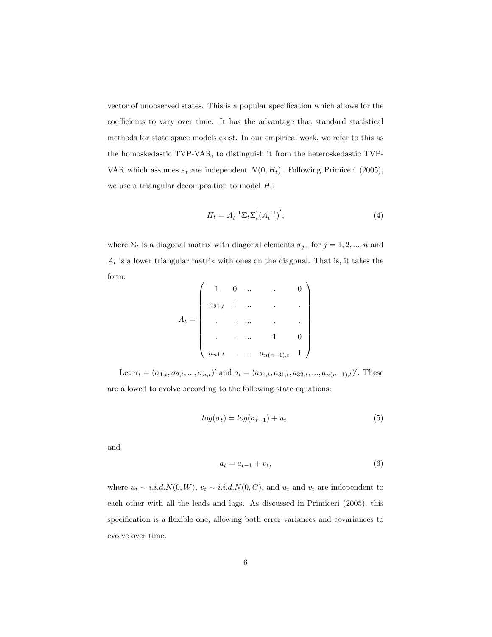vector of unobserved states. This is a popular specification which allows for the coefficients to vary over time. It has the advantage that standard statistical methods for state space models exist. In our empirical work, we refer to this as the homoskedastic TVP-VAR, to distinguish it from the heteroskedastic TVP-VAR which assumes  $\varepsilon_t$  are independent  $N(0, H_t)$ . Following Primiceri (2005), we use a triangular decomposition to model  $H_t$ :

$$
H_t = A_t^{-1} \Sigma_t \Sigma_t' (A_t^{-1})', \tag{4}
$$

where  $\Sigma_t$  is a diagonal matrix with diagonal elements  $\sigma_{j,t}$  for  $j = 1, 2, ..., n$  and  $A_t$  is a lower triangular matrix with ones on the diagonal. That is, it takes the form:  $\overline{1}$ 

$$
A_t = \left( \begin{array}{ccccc} 1 & 0 & \dots & & & & 0 \\ a_{21,t} & 1 & \dots & & & & \cdot \\ . & . & \dots & & & & . \\ . & . & \dots & & & & . \\ . & . & \dots & & 1 & & 0 \\ a_{n1,t} & . & \dots & a_{n(n-1),t} & 1 \end{array} \right)
$$

Let  $\sigma_t = (\sigma_{1,t}, \sigma_{2,t}, ..., \sigma_{n,t})'$  and  $a_t = (a_{21,t}, a_{31,t}, a_{32,t}, ..., a_{n(n-1),t})'$ . These are allowed to evolve according to the following state equations:

$$
log(\sigma_t) = log(\sigma_{t-1}) + u_t,
$$
\n(5)

and

$$
a_t = a_{t-1} + v_t,\tag{6}
$$

where  $u_t \sim i.i.d.N(0,W)$ ,  $v_t \sim i.i.d.N(0,C)$ , and  $u_t$  and  $v_t$  are independent to each other with all the leads and lags. As discussed in Primiceri (2005), this specification is a flexible one, allowing both error variances and covariances to evolve over time.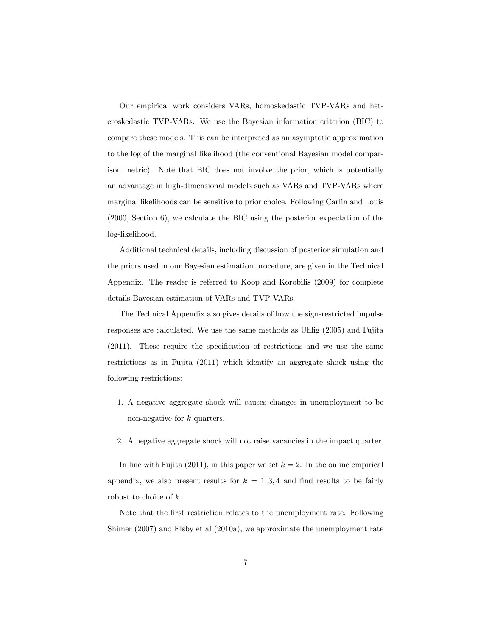Our empirical work considers VARs, homoskedastic TVP-VARs and heteroskedastic TVP-VARs. We use the Bayesian information criterion (BIC) to compare these models. This can be interpreted as an asymptotic approximation to the log of the marginal likelihood (the conventional Bayesian model comparison metric). Note that BIC does not involve the prior, which is potentially an advantage in high-dimensional models such as VARs and TVP-VARs where marginal likelihoods can be sensitive to prior choice. Following Carlin and Louis (2000, Section 6), we calculate the BIC using the posterior expectation of the log-likelihood.

Additional technical details, including discussion of posterior simulation and the priors used in our Bayesian estimation procedure, are given in the Technical Appendix. The reader is referred to Koop and Korobilis (2009) for complete details Bayesian estimation of VARs and TVP-VARs.

The Technical Appendix also gives details of how the sign-restricted impulse responses are calculated. We use the same methods as Uhlig (2005) and Fujita  $(2011)$ . These require the specification of restrictions and we use the same restrictions as in Fujita (2011) which identify an aggregate shock using the following restrictions:

- 1. A negative aggregate shock will causes changes in unemployment to be non-negative for k quarters.
- 2. A negative aggregate shock will not raise vacancies in the impact quarter.

In line with Fujita (2011), in this paper we set  $k = 2$ . In the online empirical appendix, we also present results for  $k = 1, 3, 4$  and find results to be fairly robust to choice of k.

Note that the first restriction relates to the unemployment rate. Following Shimer (2007) and Elsby et al (2010a), we approximate the unemployment rate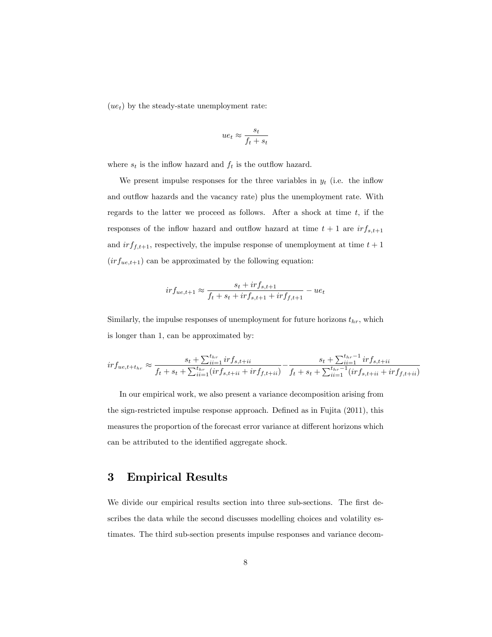$(ue_t)$  by the steady-state unemployment rate:

$$
ue_t \approx \frac{s_t}{f_t + s_t}
$$

where  $s_t$  is the inflow hazard and  $f_t$  is the outflow hazard.

We present impulse responses for the three variables in  $y_t$  (i.e. the inflow and outflow hazards and the vacancy rate) plus the unemployment rate. With regards to the latter we proceed as follows. After a shock at time  $t$ , if the responses of the inflow hazard and outflow hazard at time  $t + 1$  are  $irf_{s,t+1}$ and  $irf_{f,t+1}$ , respectively, the impulse response of unemployment at time  $t + 1$  $(irf_{ue,t+1})$  can be approximated by the following equation:

$$
irf_{ue,t+1} \approx \frac{s_t + irf_{s,t+1}}{f_t + s_t + irf_{s,t+1} + irf_{f,t+1}} - ue_t
$$

Similarly, the impulse responses of unemployment for future horizons  $t_{hr}$ , which is longer than 1, can be approximated by:

$$
irf_{ue,t+ t_{hr}} \approx \frac{s_t + \sum_{ii=1}^{t_{hr}} irf_{s,t+ii}}{f_t + s_t + \sum_{ii=1}^{t_{hr}} (irf_{s,t+ii} + irf_{f,t+ii})} - \frac{s_t + \sum_{ii=1}^{t_{hr}-1} irf_{s,t+ii}}{f_t + s_t + \sum_{ii=1}^{t_{hr}-1} (irf_{s,t+ii} + irf_{f,t+ii})}
$$

In our empirical work, we also present a variance decomposition arising from the sign-restricted impulse response approach. Defined as in Fujita (2011), this measures the proportion of the forecast error variance at different horizons which can be attributed to the identified aggregate shock.

### 3 Empirical Results

We divide our empirical results section into three sub-sections. The first describes the data while the second discusses modelling choices and volatility estimates. The third sub-section presents impulse responses and variance decom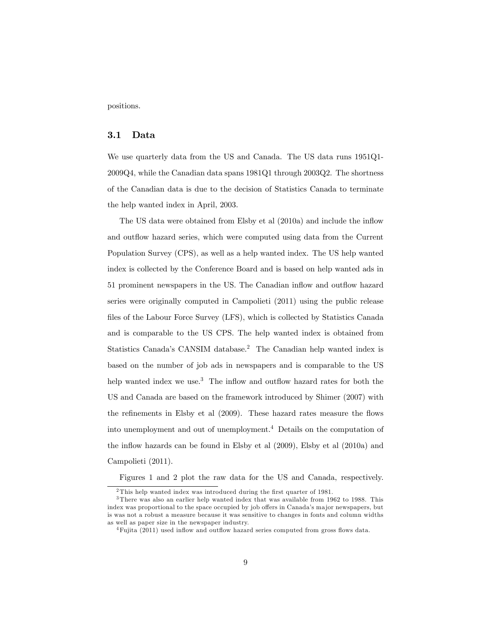positions.

### 3.1 Data

We use quarterly data from the US and Canada. The US data runs 1951Q1- 2009Q4, while the Canadian data spans 1981Q1 through 2003Q2. The shortness of the Canadian data is due to the decision of Statistics Canada to terminate the help wanted index in April, 2003.

The US data were obtained from Elsby et al  $(2010a)$  and include the inflow and outflow hazard series, which were computed using data from the Current Population Survey (CPS), as well as a help wanted index. The US help wanted index is collected by the Conference Board and is based on help wanted ads in 51 prominent newspapers in the US. The Canadian ináow and outáow hazard series were originally computed in Campolieti (2011) using the public release files of the Labour Force Survey (LFS), which is collected by Statistics Canada and is comparable to the US CPS. The help wanted index is obtained from Statistics Canada's CANSIM database.<sup>2</sup> The Canadian help wanted index is based on the number of job ads in newspapers and is comparable to the US help wanted index we use.<sup>3</sup> The inflow and outflow hazard rates for both the US and Canada are based on the framework introduced by Shimer (2007) with the refinements in Elsby et al  $(2009)$ . These hazard rates measure the flows into unemployment and out of unemployment.<sup>4</sup> Details on the computation of the inflow hazards can be found in Elsby et al  $(2009)$ , Elsby et al  $(2010a)$  and Campolieti (2011).

Figures 1 and 2 plot the raw data for the US and Canada, respectively.

 $2$ This help wanted index was introduced during the first quarter of 1981.

<sup>&</sup>lt;sup>3</sup>There was also an earlier help wanted index that was available from 1962 to 1988. This index was proportional to the space occupied by job offers in Canada's major newspapers, but is was not a robust a measure because it was sensitive to changes in fonts and column widths as well as paper size in the newspaper industry.

 $4$ Fujita (2011) used inflow and outflow hazard series computed from gross flows data.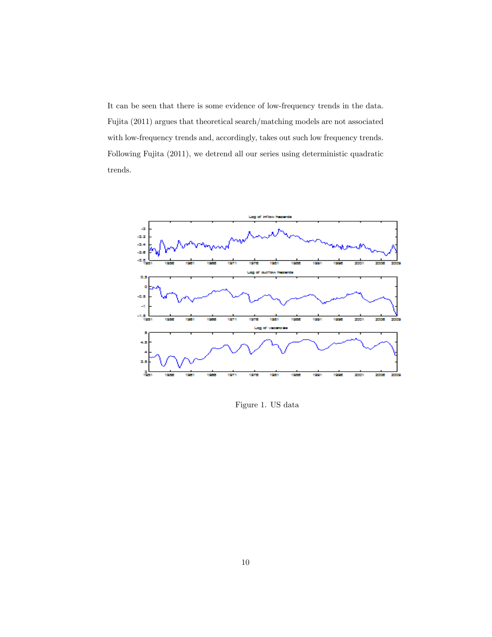It can be seen that there is some evidence of low-frequency trends in the data. Fujita (2011) argues that theoretical search/matching models are not associated with low-frequency trends and, accordingly, takes out such low frequency trends. Following Fujita (2011), we detrend all our series using deterministic quadratic trends.



Figure 1. US data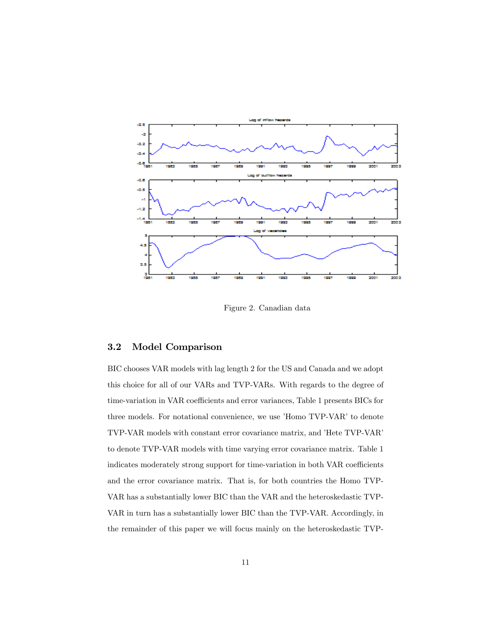

Figure 2. Canadian data

### 3.2 Model Comparison

BIC chooses VAR models with lag length 2 for the US and Canada and we adopt this choice for all of our VARs and TVP-VARs. With regards to the degree of time-variation in VAR coefficients and error variances, Table 1 presents BICs for three models. For notational convenience, we use 'Homo TVP-VAR' to denote TVP-VAR models with constant error covariance matrix, and 'Hete TVP-VAR' to denote TVP-VAR models with time varying error covariance matrix. Table 1 indicates moderately strong support for time-variation in both VAR coefficients and the error covariance matrix. That is, for both countries the Homo TVP-VAR has a substantially lower BIC than the VAR and the heteroskedastic TVP-VAR in turn has a substantially lower BIC than the TVP-VAR. Accordingly, in the remainder of this paper we will focus mainly on the heteroskedastic TVP-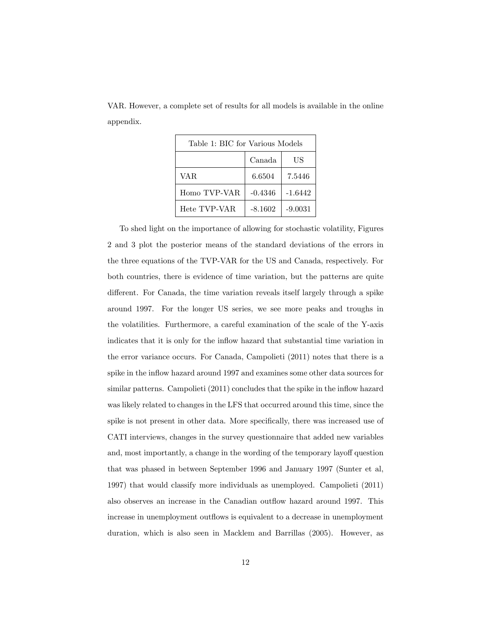| Table 1: BIC for Various Models |           |           |  |  |  |  |
|---------------------------------|-----------|-----------|--|--|--|--|
|                                 | Canada    | US        |  |  |  |  |
| <b>VAR</b>                      | 6.6504    | 7.5446    |  |  |  |  |
| Homo TVP-VAR                    | $-0.4346$ | $-1.6442$ |  |  |  |  |
| Hete TVP-VAR                    | $-8.1602$ | $-9.0031$ |  |  |  |  |

VAR. However, a complete set of results for all models is available in the online appendix.

To shed light on the importance of allowing for stochastic volatility, Figures 2 and 3 plot the posterior means of the standard deviations of the errors in the three equations of the TVP-VAR for the US and Canada, respectively. For both countries, there is evidence of time variation, but the patterns are quite different. For Canada, the time variation reveals itself largely through a spike around 1997. For the longer US series, we see more peaks and troughs in the volatilities. Furthermore, a careful examination of the scale of the Y-axis indicates that it is only for the inflow hazard that substantial time variation in the error variance occurs. For Canada, Campolieti (2011) notes that there is a spike in the inflow hazard around 1997 and examines some other data sources for similar patterns. Campolieti (2011) concludes that the spike in the inflow hazard was likely related to changes in the LFS that occurred around this time, since the spike is not present in other data. More specifically, there was increased use of CATI interviews, changes in the survey questionnaire that added new variables and, most importantly, a change in the wording of the temporary layoff question that was phased in between September 1996 and January 1997 (Sunter et al, 1997) that would classify more individuals as unemployed. Campolieti (2011) also observes an increase in the Canadian outflow hazard around 1997. This increase in unemployment outflows is equivalent to a decrease in unemployment duration, which is also seen in Macklem and Barrillas (2005). However, as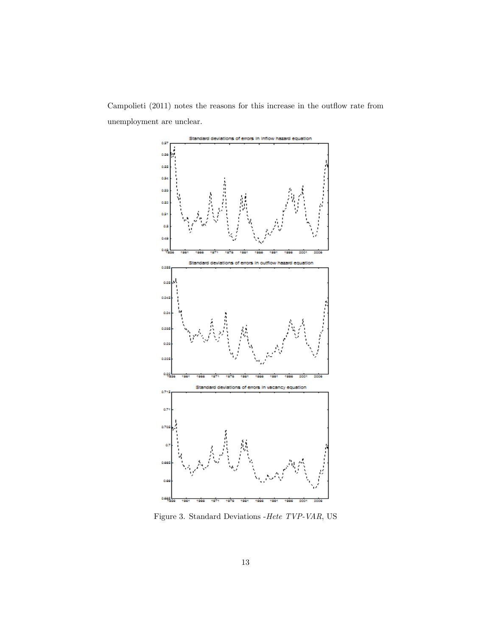Campolieti (2011) notes the reasons for this increase in the outflow rate from unemployment are unclear.



Figure 3. Standard Deviations -Hete TVP-VAR, US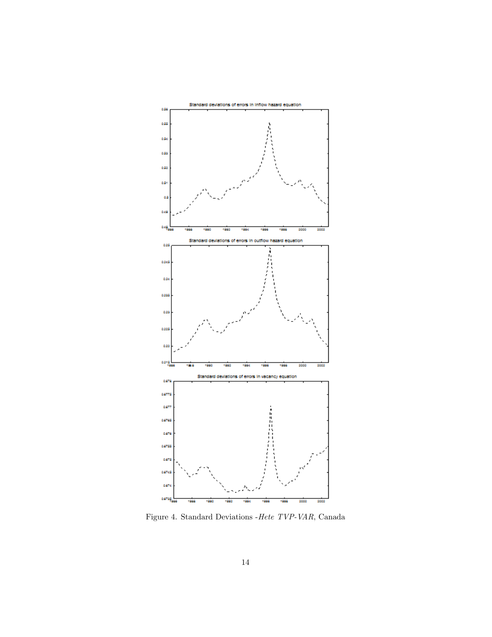

Figure 4. Standard Deviations -Hete TVP-VAR, Canada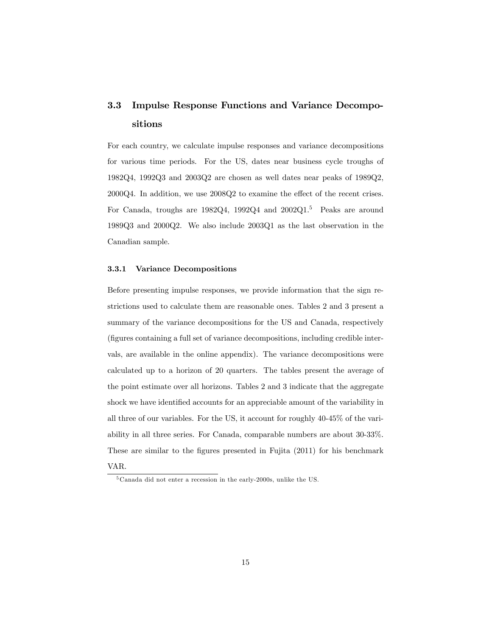# 3.3 Impulse Response Functions and Variance Decompositions

For each country, we calculate impulse responses and variance decompositions for various time periods. For the US, dates near business cycle troughs of 1982Q4, 1992Q3 and 2003Q2 are chosen as well dates near peaks of 1989Q2,  $2000Q4$ . In addition, we use  $2008Q2$  to examine the effect of the recent crises. For Canada, troughs are 1982Q4, 1992Q4 and 2002Q1.<sup>5</sup> Peaks are around 1989Q3 and 2000Q2. We also include 2003Q1 as the last observation in the Canadian sample.

#### 3.3.1 Variance Decompositions

Before presenting impulse responses, we provide information that the sign restrictions used to calculate them are reasonable ones. Tables 2 and 3 present a summary of the variance decompositions for the US and Canada, respectively (figures containing a full set of variance decompositions, including credible intervals, are available in the online appendix). The variance decompositions were calculated up to a horizon of 20 quarters. The tables present the average of the point estimate over all horizons. Tables 2 and 3 indicate that the aggregate shock we have identified accounts for an appreciable amount of the variability in all three of our variables. For the US, it account for roughly 40-45% of the variability in all three series. For Canada, comparable numbers are about 30-33%. These are similar to the figures presented in Fujita (2011) for his benchmark

VAR.

<sup>5</sup> Canada did not enter a recession in the early-2000s, unlike the US.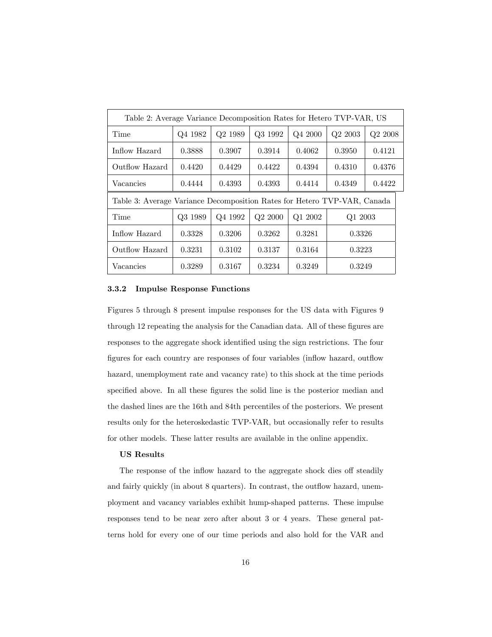| Table 2: Average Variance Decomposition Rates for Hetero TVP-VAR, US     |         |                     |                     |         |            |         |  |
|--------------------------------------------------------------------------|---------|---------------------|---------------------|---------|------------|---------|--|
| Time                                                                     | Q4 1982 | Q <sub>2</sub> 1989 | Q3 1992             | Q4 2000 | $Q2\ 2003$ | Q2 2008 |  |
| Inflow Hazard                                                            | 0.3888  | 0.3907              | 0.3914              | 0.4062  | 0.3950     | 0.4121  |  |
| Outflow Hazard                                                           | 0.4420  | 0.4429              | 0.4422              | 0.4394  | 0.4310     | 0.4376  |  |
| Vacancies                                                                | 0.4444  | 0.4393              | 0.4393              | 0.4414  | 0.4349     | 0.4422  |  |
| Table 3: Average Variance Decomposition Rates for Hetero TVP-VAR, Canada |         |                     |                     |         |            |         |  |
| Time                                                                     | Q3 1989 | Q4 1992             | Q <sub>2</sub> 2000 | Q1 2002 | Q1 2003    |         |  |
| Inflow Hazard                                                            | 0.3328  | 0.3206              | 0.3262              | 0.3281  | 0.3326     |         |  |
| Outflow Hazard                                                           | 0.3231  | 0.3102              | 0.3137              | 0.3164  | 0.3223     |         |  |
| Vacancies                                                                | 0.3289  | 0.3167              | 0.3234              | 0.3249  | 0.3249     |         |  |

### 3.3.2 Impulse Response Functions

Figures 5 through 8 present impulse responses for the US data with Figures 9 through 12 repeating the analysis for the Canadian data. All of these figures are responses to the aggregate shock identified using the sign restrictions. The four figures for each country are responses of four variables (inflow hazard, outflow hazard, unemployment rate and vacancy rate) to this shock at the time periods specified above. In all these figures the solid line is the posterior median and the dashed lines are the 16th and 84th percentiles of the posteriors. We present results only for the heteroskedastic TVP-VAR, but occasionally refer to results for other models. These latter results are available in the online appendix.

#### US Results

The response of the inflow hazard to the aggregate shock dies off steadily and fairly quickly (in about 8 quarters). In contrast, the outflow hazard, unemployment and vacancy variables exhibit hump-shaped patterns. These impulse responses tend to be near zero after about 3 or 4 years. These general patterns hold for every one of our time periods and also hold for the VAR and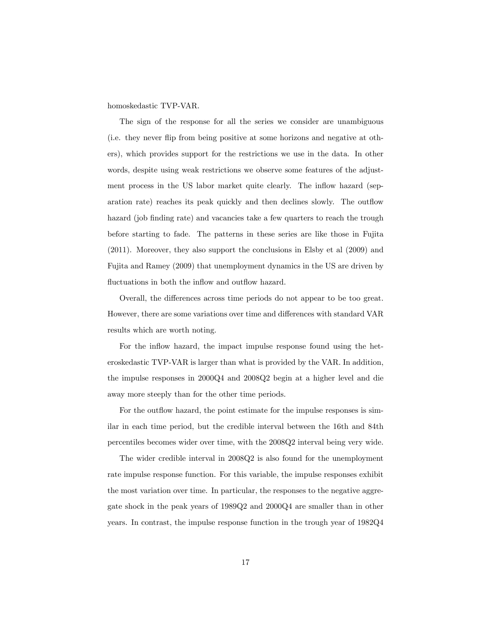homoskedastic TVP-VAR.

The sign of the response for all the series we consider are unambiguous (i.e. they never áip from being positive at some horizons and negative at others), which provides support for the restrictions we use in the data. In other words, despite using weak restrictions we observe some features of the adjustment process in the US labor market quite clearly. The inflow hazard (separation rate) reaches its peak quickly and then declines slowly. The outflow hazard (job finding rate) and vacancies take a few quarters to reach the trough before starting to fade. The patterns in these series are like those in Fujita (2011). Moreover, they also support the conclusions in Elsby et al (2009) and Fujita and Ramey (2009) that unemployment dynamics in the US are driven by fluctuations in both the inflow and outflow hazard.

Overall, the differences across time periods do not appear to be too great. However, there are some variations over time and differences with standard VAR results which are worth noting.

For the inflow hazard, the impact impulse response found using the heteroskedastic TVP-VAR is larger than what is provided by the VAR. In addition, the impulse responses in 2000Q4 and 2008Q2 begin at a higher level and die away more steeply than for the other time periods.

For the outflow hazard, the point estimate for the impulse responses is similar in each time period, but the credible interval between the 16th and 84th percentiles becomes wider over time, with the 2008Q2 interval being very wide.

The wider credible interval in 2008Q2 is also found for the unemployment rate impulse response function. For this variable, the impulse responses exhibit the most variation over time. In particular, the responses to the negative aggregate shock in the peak years of 1989Q2 and 2000Q4 are smaller than in other years. In contrast, the impulse response function in the trough year of 1982Q4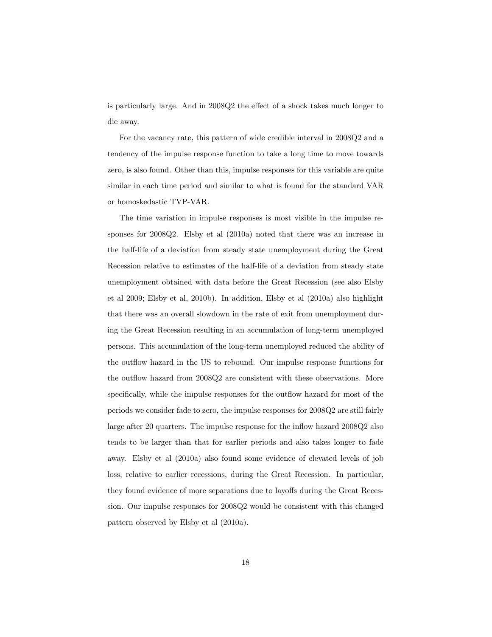is particularly large. And in  $2008Q2$  the effect of a shock takes much longer to die away.

For the vacancy rate, this pattern of wide credible interval in 2008Q2 and a tendency of the impulse response function to take a long time to move towards zero, is also found. Other than this, impulse responses for this variable are quite similar in each time period and similar to what is found for the standard VAR or homoskedastic TVP-VAR.

The time variation in impulse responses is most visible in the impulse responses for 2008Q2. Elsby et al (2010a) noted that there was an increase in the half-life of a deviation from steady state unemployment during the Great Recession relative to estimates of the half-life of a deviation from steady state unemployment obtained with data before the Great Recession (see also Elsby et al 2009; Elsby et al, 2010b). In addition, Elsby et al (2010a) also highlight that there was an overall slowdown in the rate of exit from unemployment during the Great Recession resulting in an accumulation of long-term unemployed persons. This accumulation of the long-term unemployed reduced the ability of the outflow hazard in the US to rebound. Our impulse response functions for the outflow hazard from 2008Q2 are consistent with these observations. More specifically, while the impulse responses for the outflow hazard for most of the periods we consider fade to zero, the impulse responses for 2008Q2 are still fairly large after 20 quarters. The impulse response for the inflow hazard 2008Q2 also tends to be larger than that for earlier periods and also takes longer to fade away. Elsby et al (2010a) also found some evidence of elevated levels of job loss, relative to earlier recessions, during the Great Recession. In particular, they found evidence of more separations due to layoffs during the Great Recession. Our impulse responses for 2008Q2 would be consistent with this changed pattern observed by Elsby et al (2010a).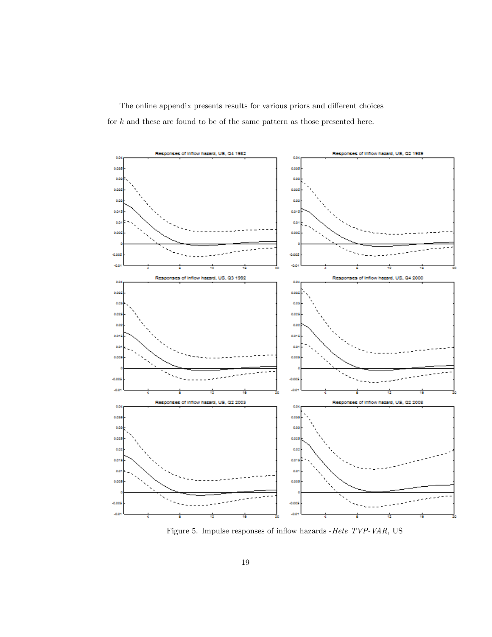The online appendix presents results for various priors and different choices for  $k$  and these are found to be of the same pattern as those presented here.



Figure 5. Impulse responses of inflow hazards - Hete  $TVP$ -VAR, US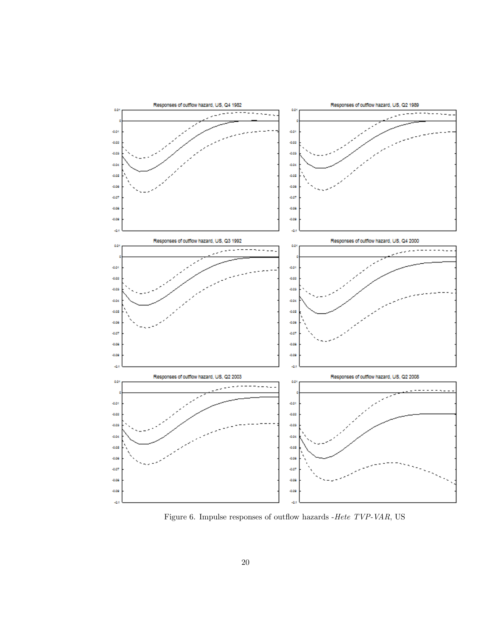

Figure 6. Impulse responses of outflow hazards -Hete  $\emph{TVP-VAR}, \emph{US}$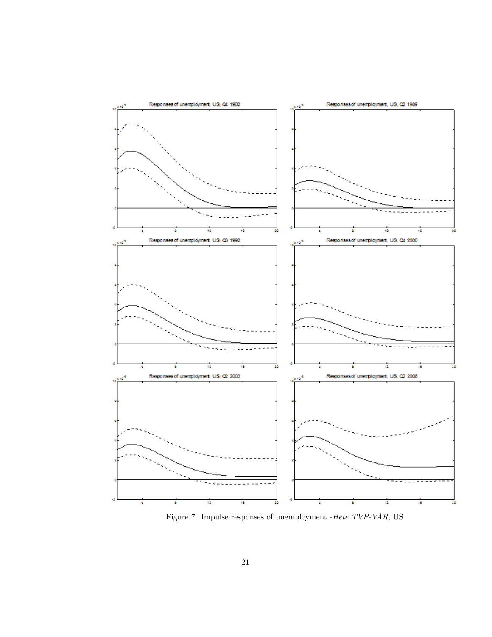

Figure 7. Impulse responses of unemployment -Hete TVP-VAR, US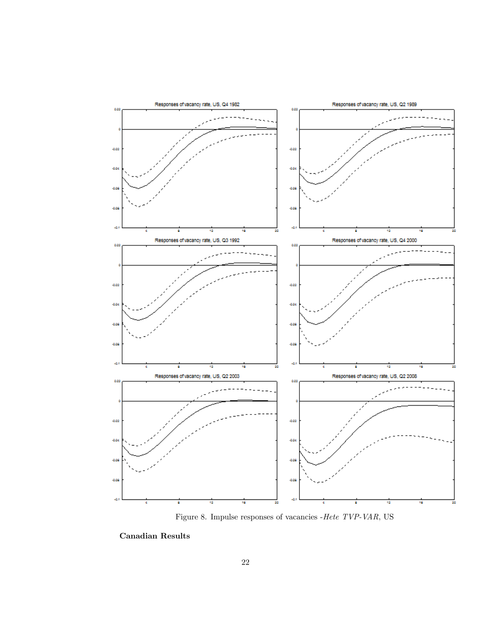

Figure 8. Impulse responses of vacancies -Hete TVP-VAR, US

Canadian Results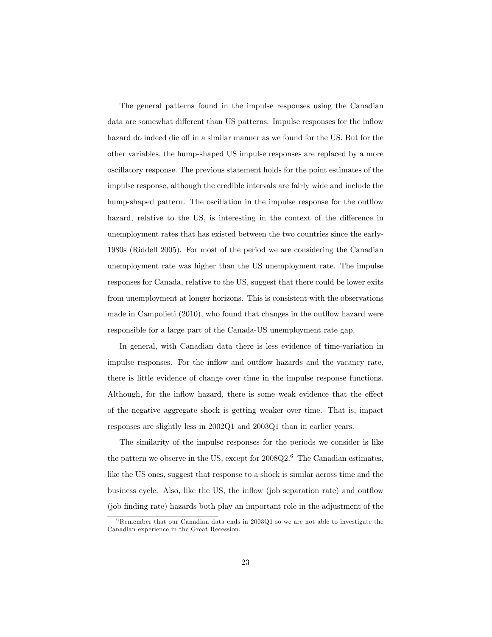The general patterns found in the impulse responses using the Canadian data are somewhat different than US patterns. Impulse responses for the inflow hazard do indeed die off in a similar manner as we found for the US. But for the other variables, the hump-shaped US impulse responses are replaced by a more oscillatory response. The previous statement holds for the point estimates of the impulse response, although the credible intervals are fairly wide and include the hump-shaped pattern. The oscillation in the impulse response for the outflow hazard, relative to the US, is interesting in the context of the difference in unemployment rates that has existed between the two countries since the early-1980s (Riddell 2005). For most of the period we are considering the Canadian unemployment rate was higher than the US unemployment rate. The impulse responses for Canada, relative to the US, suggest that there could be lower exits from unemployment at longer horizons. This is consistent with the observations made in Campolieti  $(2010)$ , who found that changes in the outflow hazard were responsible for a large part of the Canada-US unemployment rate gap.

In general, with Canadian data there is less evidence of time-variation in impulse responses. For the inflow and outflow hazards and the vacancy rate, there is little evidence of change over time in the impulse response functions. Although, for the inflow hazard, there is some weak evidence that the effect of the negative aggregate shock is getting weaker over time. That is, impact responses are slightly less in 2002Q1 and 2003Q1 than in earlier years.

The similarity of the impulse responses for the periods we consider is like the pattern we observe in the US, except for  $2008Q2<sup>6</sup>$  The Canadian estimates, like the US ones, suggest that response to a shock is similar across time and the business cycle. Also, like the US, the inflow (job separation rate) and outflow (job finding rate) hazards both play an important role in the adjustment of the

 $6$ Remember that our Canadian data ends in 2003Q1 so we are not able to investigate the Canadian experience in the Great Recession.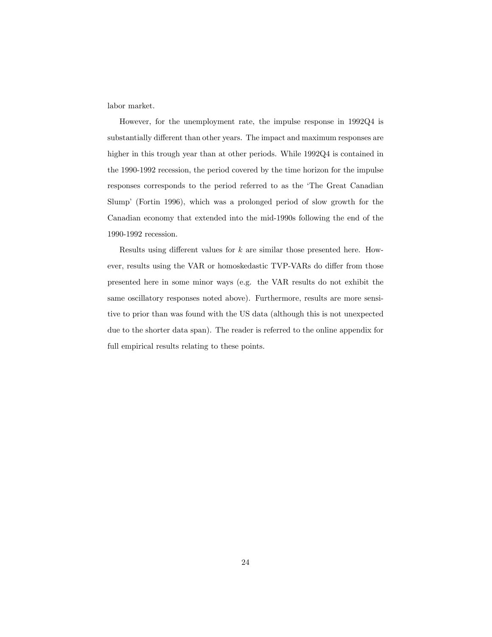labor market.

However, for the unemployment rate, the impulse response in 1992Q4 is substantially different than other years. The impact and maximum responses are higher in this trough year than at other periods. While 1992Q4 is contained in the 1990-1992 recession, the period covered by the time horizon for the impulse responses corresponds to the period referred to as the 'The Great Canadian Slumpí (Fortin 1996), which was a prolonged period of slow growth for the Canadian economy that extended into the mid-1990s following the end of the 1990-1992 recession.

Results using different values for  $k$  are similar those presented here. However, results using the VAR or homoskedastic TVP-VARs do differ from those presented here in some minor ways (e.g. the VAR results do not exhibit the same oscillatory responses noted above). Furthermore, results are more sensitive to prior than was found with the US data (although this is not unexpected due to the shorter data span). The reader is referred to the online appendix for full empirical results relating to these points.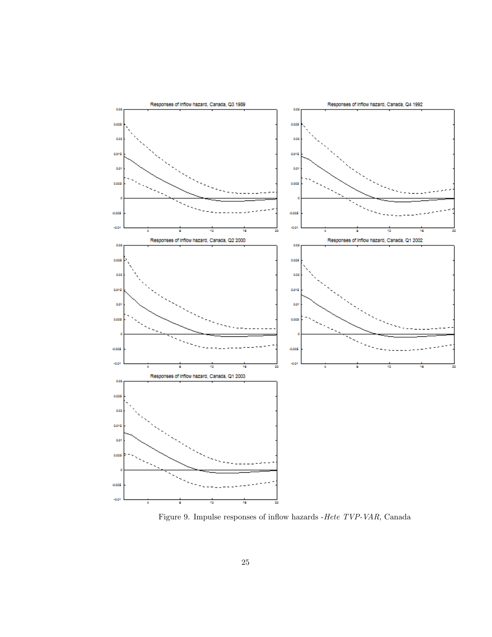

Figure 9. Impulse responses of inflow hazards -Hete  $TVP$ -VAR, Canada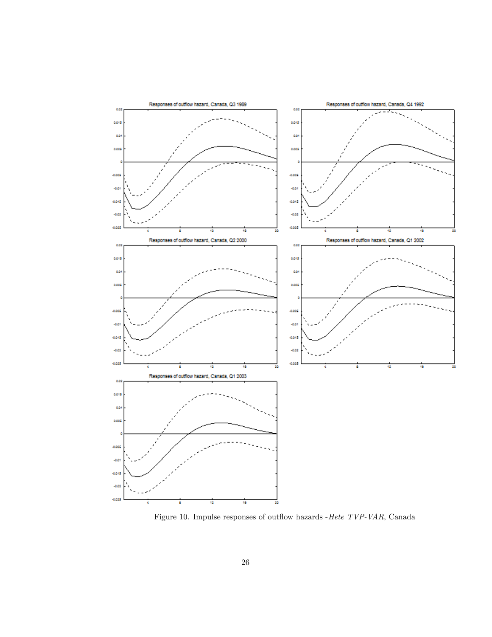

Figure 10. Impulse responses of outflow hazards -Hete  $\mathit{TVP-VAR},$  Canada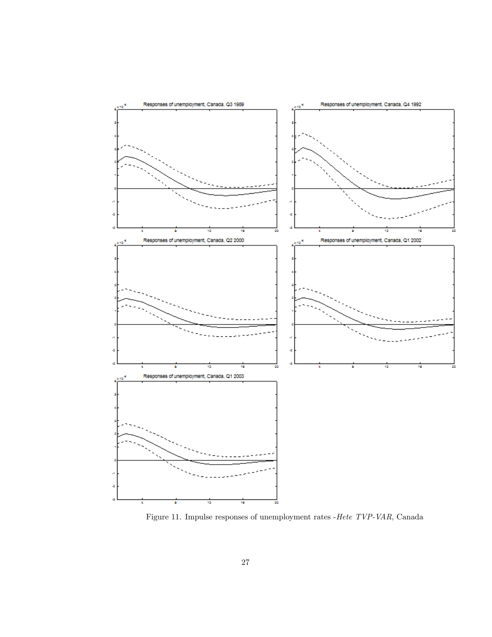

Figure 11. Impulse responses of unemployment rates -Hete TVP-VAR, Canada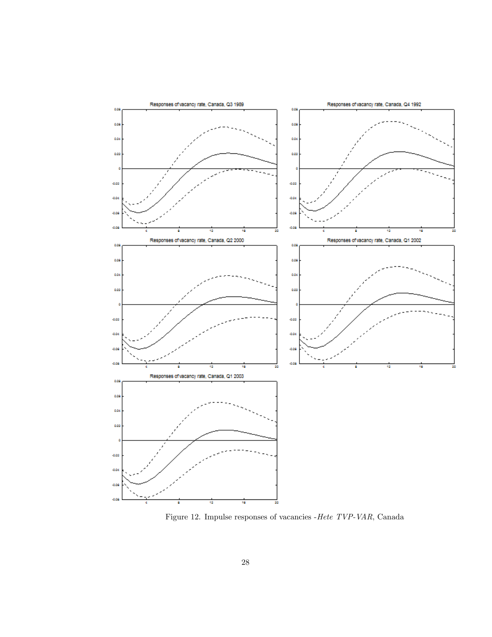

Figure 12. Impulse responses of vacancies -Hete TVP-VAR, Canada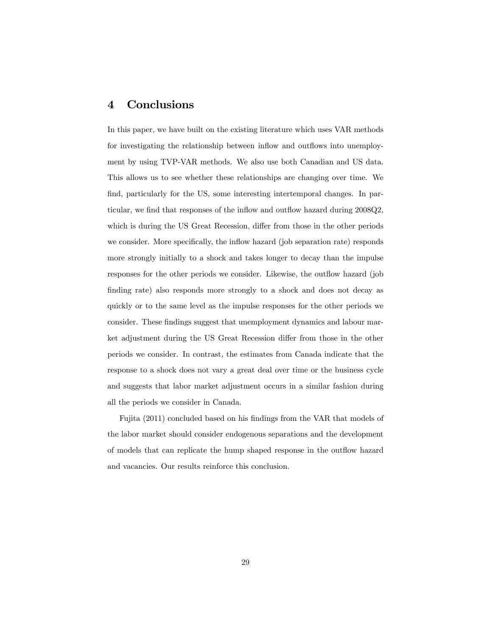### 4 Conclusions

In this paper, we have built on the existing literature which uses VAR methods for investigating the relationship between inflow and outflows into unemployment by using TVP-VAR methods. We also use both Canadian and US data. This allows us to see whether these relationships are changing over time. We find, particularly for the US, some interesting intertemporal changes. In particular, we find that responses of the inflow and outflow hazard during 2008Q2, which is during the US Great Recession, differ from those in the other periods we consider. More specifically, the inflow hazard (job separation rate) responds more strongly initially to a shock and takes longer to decay than the impulse responses for the other periods we consider. Likewise, the outflow hazard (job finding rate) also responds more strongly to a shock and does not decay as quickly or to the same level as the impulse responses for the other periods we consider. These findings suggest that unemployment dynamics and labour market adjustment during the US Great Recession differ from those in the other periods we consider. In contrast, the estimates from Canada indicate that the response to a shock does not vary a great deal over time or the business cycle and suggests that labor market adjustment occurs in a similar fashion during all the periods we consider in Canada.

Fujita (2011) concluded based on his findings from the VAR that models of the labor market should consider endogenous separations and the development of models that can replicate the hump shaped response in the outflow hazard and vacancies. Our results reinforce this conclusion.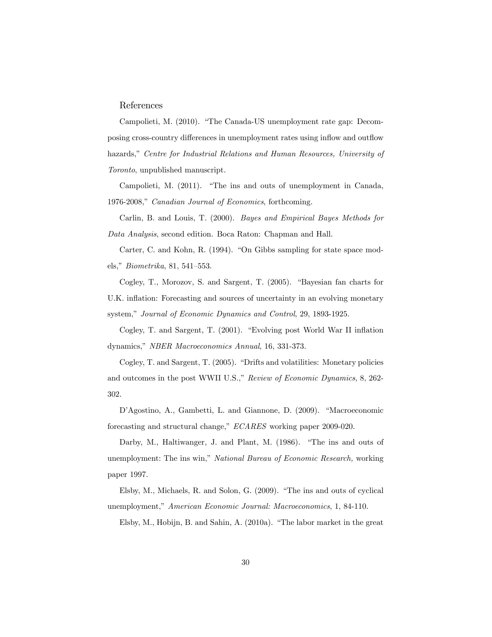#### References

Campolieti, M. (2010). "The Canada-US unemployment rate gap: Decomposing cross-country differences in unemployment rates using inflow and outflow hazards," Centre for Industrial Relations and Human Resources, University of Toronto, unpublished manuscript.

Campolieti, M. (2011). "The ins and outs of unemployment in Canada, 1976-2008," Canadian Journal of Economics, forthcoming.

Carlin, B. and Louis, T. (2000). *Bayes and Empirical Bayes Methods for* Data Analysis, second edition. Boca Raton: Chapman and Hall.

Carter, C. and Kohn, R. (1994). "On Gibbs sampling for state space models," *Biometrika*, 81, 541-553.

Cogley, T., Morozov, S. and Sargent, T. (2005). "Bayesian fan charts for U.K. inflation: Forecasting and sources of uncertainty in an evolving monetary system," Journal of Economic Dynamics and Control, 29, 1893-1925.

Cogley, T. and Sargent, T. (2001). "Evolving post World War II inflation dynamics," NBER Macroeconomics Annual, 16, 331-373.

Cogley, T. and Sargent, T. (2005). "Drifts and volatilities: Monetary policies and outcomes in the post WWII U.S.," Review of Economic Dynamics, 8, 262-302.

D'Agostino, A., Gambetti, L. and Giannone, D. (2009). "Macroeconomic forecasting and structural change," *ECARES* working paper 2009-020.

Darby, M., Haltiwanger, J. and Plant, M. (1986). "The ins and outs of unemployment: The ins win," National Bureau of Economic Research, working paper 1997.

Elsby, M., Michaels, R. and Solon, G. (2009). "The ins and outs of cyclical unemployment," American Economic Journal: Macroeconomics, 1, 84-110.

Elsby, M., Hobijn, B. and Sahin, A. (2010a). "The labor market in the great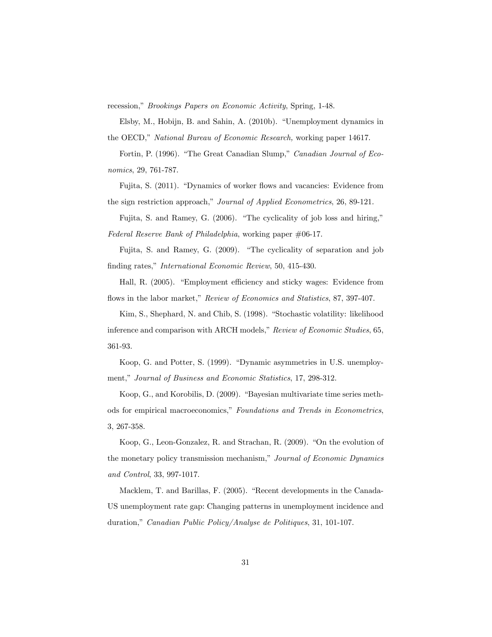recession," Brookings Papers on Economic Activity, Spring, 1-48.

Elsby, M., Hobijn, B. and Sahin, A. (2010b). "Unemployment dynamics in the OECD," National Bureau of Economic Research, working paper 14617.

Fortin, P. (1996). "The Great Canadian Slump," Canadian Journal of Economics, 29, 761-787.

Fujita, S. (2011). "Dynamics of worker flows and vacancies: Evidence from the sign restriction approach," Journal of Applied Econometrics, 26, 89-121.

Fujita, S. and Ramey, G.  $(2006)$ . "The cyclicality of job loss and hiring," Federal Reserve Bank of Philadelphia, working paper #06-17.

Fujita, S. and Ramey, G.  $(2009)$ . "The cyclicality of separation and job finding rates," International Economic Review, 50, 415-430.

Hall, R. (2005). "Employment efficiency and sticky wages: Evidence from flows in the labor market," Review of Economics and Statistics, 87, 397-407.

Kim, S., Shephard, N. and Chib, S. (1998). "Stochastic volatility: likelihood inference and comparison with ARCH models," Review of Economic Studies, 65, 361-93.

Koop, G. and Potter, S. (1999). "Dynamic asymmetries in U.S. unemployment," Journal of Business and Economic Statistics, 17, 298-312.

Koop, G., and Korobilis, D. (2009). "Bayesian multivariate time series methods for empirical macroeconomics," Foundations and Trends in Econometrics, 3, 267-358.

Koop, G., Leon-Gonzalez, R. and Strachan, R. (2009). "On the evolution of the monetary policy transmission mechanism," Journal of Economic Dynamics and Control, 33, 997-1017.

Macklem, T. and Barillas, F. (2005). "Recent developments in the Canada-US unemployment rate gap: Changing patterns in unemployment incidence and duration," Canadian Public Policy/Analyse de Politiques, 31, 101-107.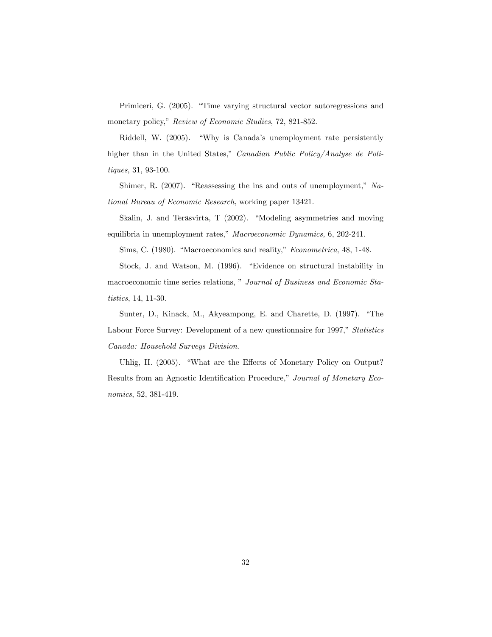Primiceri, G. (2005). "Time varying structural vector autoregressions and monetary policy," Review of Economic Studies, 72, 821-852.

Riddell, W. (2005). "Why is Canada's unemployment rate persistently higher than in the United States," Canadian Public Policy/Analyse de Politiques, 31, 93-100.

Shimer, R.  $(2007)$ . "Reassessing the ins and outs of unemployment," National Bureau of Economic Research, working paper 13421.

Skalin, J. and Teräsvirta, T (2002). "Modeling asymmetries and moving equilibria in unemployment rates," Macroeconomic Dynamics, 6, 202-241.

Sims, C. (1980). "Macroeconomics and reality," *Econometrica*, 48, 1-48.

Stock, J. and Watson, M. (1996). "Evidence on structural instability in macroeconomic time series relations," Journal of Business and Economic Sta*tistics*, 14, 11-30.

Sunter, D., Kinack, M., Akyeampong, E. and Charette, D. (1997). "The Labour Force Survey: Development of a new questionnaire for 1997," Statistics Canada: Household Surveys Division.

Uhlig, H. (2005). "What are the Effects of Monetary Policy on Output? Results from an Agnostic Identification Procedure," Journal of Monetary Economics, 52, 381-419.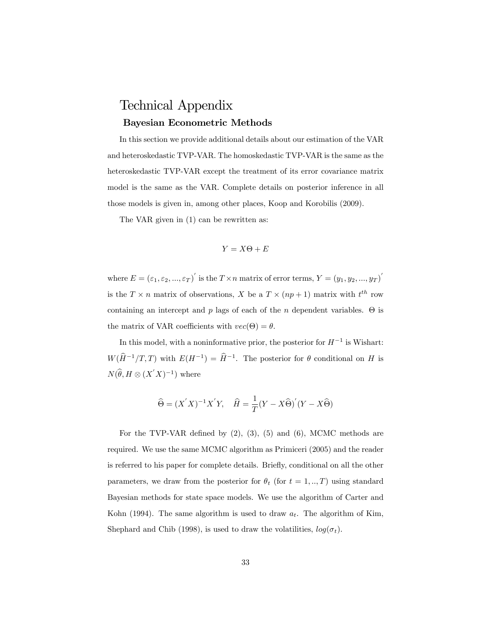## Technical Appendix Bayesian Econometric Methods

In this section we provide additional details about our estimation of the VAR and heteroskedastic TVP-VAR. The homoskedastic TVP-VAR is the same as the heteroskedastic TVP-VAR except the treatment of its error covariance matrix model is the same as the VAR. Complete details on posterior inference in all those models is given in, among other places, Koop and Korobilis (2009).

The VAR given in (1) can be rewritten as:

$$
Y=X\Theta +E
$$

where  $E = (\varepsilon_1, \varepsilon_2, ..., \varepsilon_T)'$  is the  $T \times n$  matrix of error terms,  $Y = (y_1, y_2, ..., y_T)'$ is the  $T \times n$  matrix of observations, X be a  $T \times (np + 1)$  matrix with  $t^{th}$  row containing an intercept and  $p$  lags of each of the  $n$  dependent variables.  $\Theta$  is the matrix of VAR coefficients with  $vec(\Theta) = \theta$ .

In this model, with a noninformative prior, the posterior for  $H^{-1}$  is Wishart:  $W(\hat{H}^{-1}/T, T)$  with  $E(H^{-1}) = \hat{H}^{-1}$ . The posterior for  $\theta$  conditional on H is  $N(\hat{\theta}, H \otimes (X'X)^{-1})$  where

$$
\widehat{\Theta} = (X'X)^{-1}X'Y, \quad \widehat{H} = \frac{1}{T}(Y - X\widehat{\Theta})'(Y - X\widehat{\Theta})
$$

For the TVP-VAR defined by  $(2)$ ,  $(3)$ ,  $(5)$  and  $(6)$ , MCMC methods are required. We use the same MCMC algorithm as Primiceri (2005) and the reader is referred to his paper for complete details. Briefly, conditional on all the other parameters, we draw from the posterior for  $\theta_t$  (for  $t = 1, ..., T$ ) using standard Bayesian methods for state space models. We use the algorithm of Carter and Kohn (1994). The same algorithm is used to draw  $a_t$ . The algorithm of Kim, Shephard and Chib (1998), is used to draw the volatilities,  $log(\sigma_t)$ .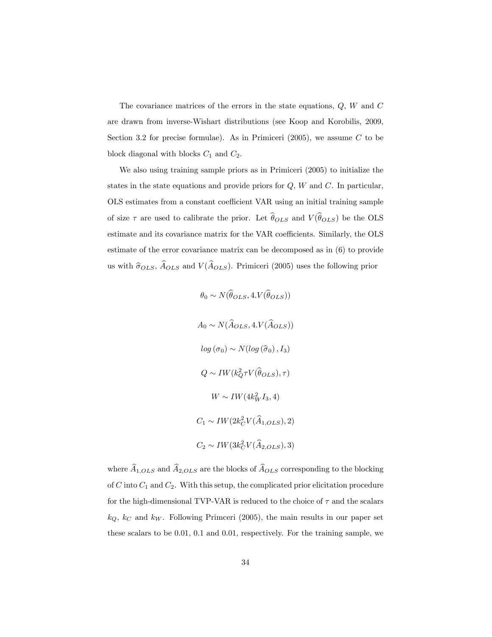The covariance matrices of the errors in the state equations,  $Q$ ,  $W$  and  $C$ are drawn from inverse-Wishart distributions (see Koop and Korobilis, 2009, Section 3.2 for precise formulae). As in Primiceri  $(2005)$ , we assume C to be block diagonal with blocks  $C_1$  and  $C_2$ .

We also using training sample priors as in Primiceri (2005) to initialize the states in the state equations and provide priors for  $Q$ ,  $W$  and  $C$ . In particular, OLS estimates from a constant coefficient VAR using an initial training sample of size  $\tau$  are used to calibrate the prior. Let  $\widehat{\theta}_{OLS}$  and  $V(\widehat{\theta}_{OLS})$  be the OLS estimate and its covariance matrix for the VAR coefficients. Similarly, the OLS estimate of the error covariance matrix can be decomposed as in (6) to provide us with  $\hat{\sigma}_{OLS}$ ,  $\hat{A}_{OLS}$  and  $V(\hat{A}_{OLS})$ . Primiceri (2005) uses the following prior

$$
\theta_0 \sim N(\hat{\theta}_{OLS}, 4.V(\hat{\theta}_{OLS}))
$$
  
\n
$$
A_0 \sim N(\hat{A}_{OLS}, 4.V(\hat{A}_{OLS}))
$$
  
\n
$$
log (\sigma_0) \sim N(log (\hat{\sigma}_0), I_3)
$$
  
\n
$$
Q \sim IW(k_Q^2 \tau V(\hat{\theta}_{OLS}), \tau)
$$
  
\n
$$
W \sim IW(4k_W^2 I_3, 4)
$$
  
\n
$$
C_1 \sim IW(2k_C^2 V(\hat{A}_{1,OLS}), 2)
$$
  
\n
$$
C_2 \sim IW(3k_C^2 V(\hat{A}_{2,OLS}), 3)
$$

where  $\widehat{A}_{1,OLS}$  and  $\widehat{A}_{2,OLS}$  are the blocks of  $\widehat{A}_{OLS}$  corresponding to the blocking of C into  $C_1$  and  $C_2$ . With this setup, the complicated prior elicitation procedure for the high-dimensional TVP-VAR is reduced to the choice of  $\tau$  and the scalars  $k_Q$ ,  $k_C$  and  $k_W$ . Following Primceri (2005), the main results in our paper set these scalars to be 0.01, 0.1 and 0.01, respectively. For the training sample, we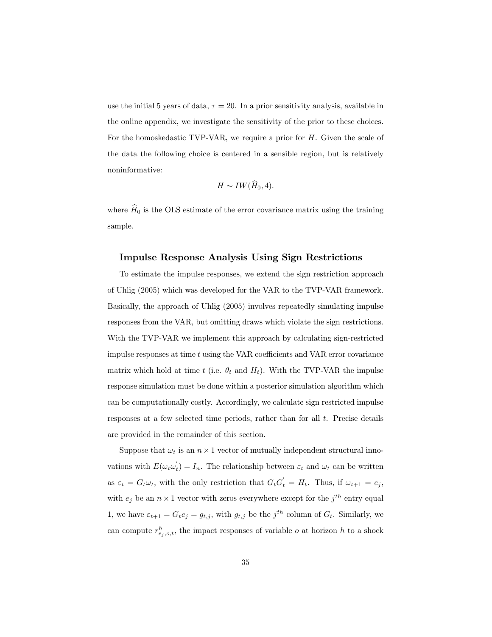use the initial 5 years of data,  $\tau = 20$ . In a prior sensitivity analysis, available in the online appendix, we investigate the sensitivity of the prior to these choices. For the homoskedastic TVP-VAR, we require a prior for H. Given the scale of the data the following choice is centered in a sensible region, but is relatively noninformative:

$$
H \sim IW(\widehat{H}_0, 4).
$$

where  $\hat{H}_0$  is the OLS estimate of the error covariance matrix using the training sample.

### Impulse Response Analysis Using Sign Restrictions

To estimate the impulse responses, we extend the sign restriction approach of Uhlig (2005) which was developed for the VAR to the TVP-VAR framework. Basically, the approach of Uhlig (2005) involves repeatedly simulating impulse responses from the VAR, but omitting draws which violate the sign restrictions. With the TVP-VAR we implement this approach by calculating sign-restricted impulse responses at time  $t$  using the VAR coefficients and VAR error covariance matrix which hold at time t (i.e.  $\theta_t$  and  $H_t$ ). With the TVP-VAR the impulse response simulation must be done within a posterior simulation algorithm which can be computationally costly. Accordingly, we calculate sign restricted impulse responses at a few selected time periods, rather than for all t. Precise details are provided in the remainder of this section.

Suppose that  $\omega_t$  is an  $n \times 1$  vector of mutually independent structural innovations with  $E(\omega_t \omega_t) = I_n$ . The relationship between  $\varepsilon_t$  and  $\omega_t$  can be written as  $\varepsilon_t = G_t \omega_t$ , with the only restriction that  $G_t G_t' = H_t$ . Thus, if  $\omega_{t+1} = e_j$ , with  $e_j$  be an  $n \times 1$  vector with zeros everywhere except for the  $j^{th}$  entry equal 1, we have  $\varepsilon_{t+1} = G_t e_j = g_{t,j}$ , with  $g_{t,j}$  be the  $j^{th}$  column of  $G_t$ . Similarly, we can compute  $r_{e_j,o,t}^h$ , the impact responses of variable  $o$  at horizon  $h$  to a shock